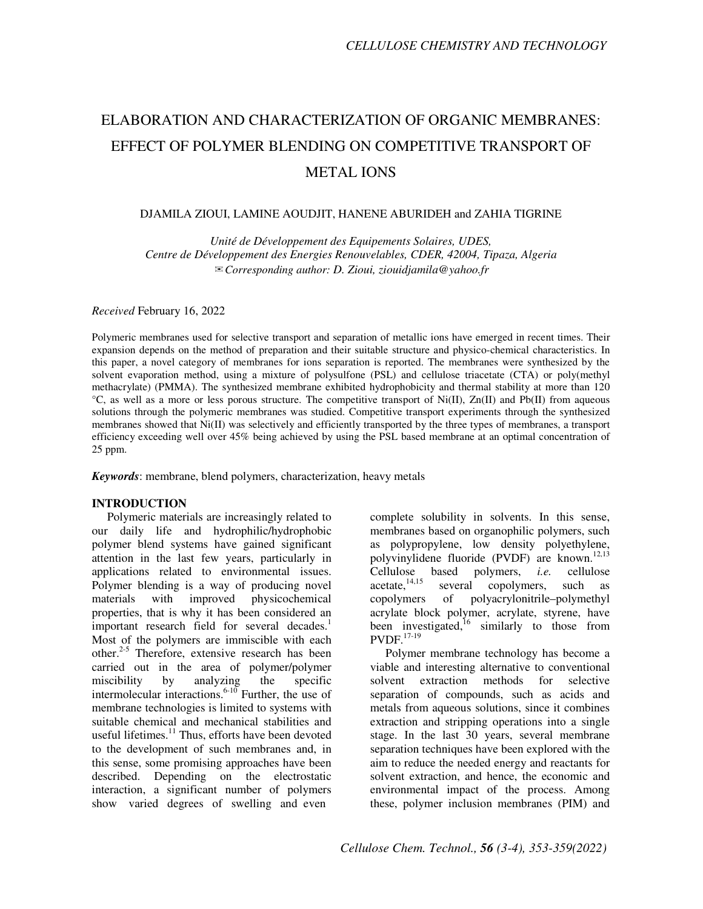# ELABORATION AND CHARACTERIZATION OF ORGANIC MEMBRANES: EFFECT OF POLYMER BLENDING ON COMPETITIVE TRANSPORT OF METAL IONS

# DJAMILA ZIOUI, LAMINE AOUDJIT, HANENE ABURIDEH and ZAHIA TIGRINE

*Unité de Développement des Equipements Solaires, UDES, Centre de Développement des Energies Renouvelables, CDER, 42004, Tipaza, Algeria*  ✉*Corresponding author: D. Zioui, ziouidjamila@yahoo.fr* 

*Received* February 16, 2022

Polymeric membranes used for selective transport and separation of metallic ions have emerged in recent times. Their expansion depends on the method of preparation and their suitable structure and physico-chemical characteristics. In this paper, a novel category of membranes for ions separation is reported. The membranes were synthesized by the solvent evaporation method, using a mixture of polysulfone (PSL) and cellulose triacetate (CTA) or poly(methyl methacrylate) (PMMA). The synthesized membrane exhibited hydrophobicity and thermal stability at more than 120  $^{\circ}$ C, as well as a more or less porous structure. The competitive transport of Ni(II), Zn(II) and Pb(II) from aqueous solutions through the polymeric membranes was studied. Competitive transport experiments through the synthesized membranes showed that Ni(II) was selectively and efficiently transported by the three types of membranes, a transport efficiency exceeding well over 45% being achieved by using the PSL based membrane at an optimal concentration of 25 ppm.

*Keywords*: membrane, blend polymers, characterization, heavy metals

#### **INTRODUCTION**

Polymeric materials are increasingly related to our daily life and hydrophilic/hydrophobic polymer blend systems have gained significant attention in the last few years, particularly in applications related to environmental issues. Polymer blending is a way of producing novel materials with improved physicochemical properties, that is why it has been considered an important research field for several decades.<sup>1</sup> Most of the polymers are immiscible with each other.<sup>2-5</sup> Therefore, extensive research has been carried out in the area of polymer/polymer miscibility by analyzing the specific intermolecular interactions. $6-10$  Further, the use of membrane technologies is limited to systems with suitable chemical and mechanical stabilities and useful lifetimes.<sup>11</sup> Thus, efforts have been devoted to the development of such membranes and, in this sense, some promising approaches have been described. Depending on the electrostatic interaction, a significant number of polymers show varied degrees of swelling and even

complete solubility in solvents. In this sense, membranes based on organophilic polymers, such as polypropylene, low density polyethylene, polyvinylidene fluoride (PVDF) are known.<sup>12,13</sup><br>Cellulose based polymers, *i.e.* cellulose polymers, *i.e.* cellulose  $\alpha$ cetate,<sup>14,15</sup> several copolymers, such as copolymers of polyacrylonitrile–polymethyl acrylate block polymer, acrylate, styrene, have been investigated,<sup>16</sup> similarly to those from  $\mathsf{PVDF.}^{17\text{-}19}$ 

Polymer membrane technology has become a viable and interesting alternative to conventional solvent extraction methods for selective separation of compounds, such as acids and metals from aqueous solutions, since it combines extraction and stripping operations into a single stage. In the last 30 years, several membrane separation techniques have been explored with the aim to reduce the needed energy and reactants for solvent extraction, and hence, the economic and environmental impact of the process. Among these, polymer inclusion membranes (PIM) and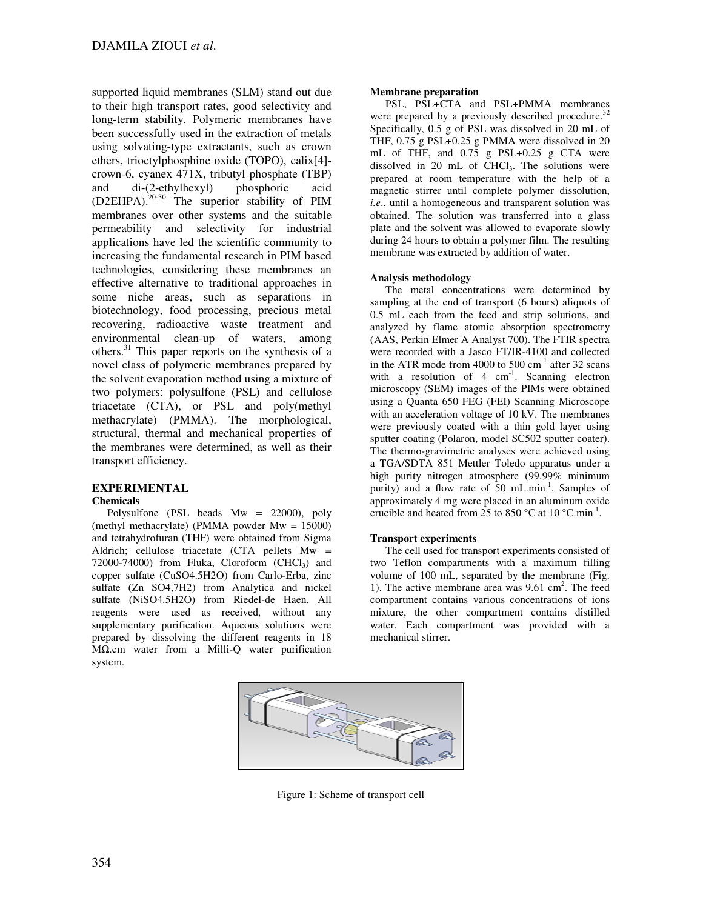supported liquid membranes (SLM) stand out due to their high transport rates, good selectivity and long-term stability. Polymeric membranes have been successfully used in the extraction of metals using solvating-type extractants, such as crown ethers, trioctylphosphine oxide (TOPO), calix[4] crown-6, cyanex 471X, tributyl phosphate (TBP) and di-(2-ethylhexyl) phosphoric acid (D2EHPA).20-30 The superior stability of PIM membranes over other systems and the suitable permeability and selectivity for industrial applications have led the scientific community to increasing the fundamental research in PIM based technologies, considering these membranes an effective alternative to traditional approaches in some niche areas, such as separations in biotechnology, food processing, precious metal recovering, radioactive waste treatment and environmental clean-up of waters, among others.<sup>31</sup> This paper reports on the synthesis of a novel class of polymeric membranes prepared by the solvent evaporation method using a mixture of two polymers: polysulfone (PSL) and cellulose triacetate (CTA), or PSL and poly(methyl methacrylate) (PMMA). The morphological, structural, thermal and mechanical properties of the membranes were determined, as well as their transport efficiency.

#### **EXPERIMENTAL Chemicals**

Polysulfone (PSL beads Mw = 22000), poly (methyl methacrylate) (PMMA powder Mw = 15000) and tetrahydrofuran (THF) were obtained from Sigma Aldrich; cellulose triacetate (CTA pellets Mw = 72000-74000) from Fluka, Cloroform  $(CHCl<sub>3</sub>)$  and copper sulfate (CuSO4.5H2O) from Carlo-Erba, zinc sulfate (Zn SO4,7H2) from Analytica and nickel sulfate (NiSO4.5H2O) from Riedel-de Haen. All reagents were used as received, without any supplementary purification. Aqueous solutions were prepared by dissolving the different reagents in 18 MΩ.cm water from a Milli-Q water purification system.

# **Membrane preparation**

PSL, PSL+CTA and PSL+PMMA membranes were prepared by a previously described procedure.<sup>32</sup> Specifically, 0.5 g of PSL was dissolved in 20 mL of THF, 0.75 g PSL+0.25 g PMMA were dissolved in 20 mL of THF, and 0.75 g PSL+0.25 g CTA were dissolved in 20 mL of CHCl3. The solutions were prepared at room temperature with the help of a magnetic stirrer until complete polymer dissolution, *i.e*., until a homogeneous and transparent solution was obtained. The solution was transferred into a glass plate and the solvent was allowed to evaporate slowly during 24 hours to obtain a polymer film. The resulting membrane was extracted by addition of water.

# **Analysis methodology**

The metal concentrations were determined by sampling at the end of transport (6 hours) aliquots of 0.5 mL each from the feed and strip solutions, and analyzed by flame atomic absorption spectrometry (AAS, Perkin Elmer A Analyst 700). The FTIR spectra were recorded with a Jasco FT/IR-4100 and collected in the ATR mode from 4000 to 500  $\text{cm}^{-1}$  after 32 scans with a resolution of  $4 \text{ cm}^{-1}$ . Scanning electron microscopy (SEM) images of the PIMs were obtained using a Quanta 650 FEG (FEI) Scanning Microscope with an acceleration voltage of 10 kV. The membranes were previously coated with a thin gold layer using sputter coating (Polaron, model SC502 sputter coater). The thermo-gravimetric analyses were achieved using a TGA/SDTA 851 Mettler Toledo apparatus under a high purity nitrogen atmosphere (99.99% minimum purity) and a flow rate of 50 mL.min<sup>-1</sup>. Samples of approximately 4 mg were placed in an aluminum oxide crucible and heated from  $25$  to  $850 °C$  at  $10 °C.min^{-1}$ .

# **Transport experiments**

The cell used for transport experiments consisted of two Teflon compartments with a maximum filling volume of 100 mL, separated by the membrane (Fig. 1). The active membrane area was 9.61 cm<sup>2</sup>. The feed compartment contains various concentrations of ions mixture, the other compartment contains distilled water. Each compartment was provided with a mechanical stirrer.



Figure 1: Scheme of transport cell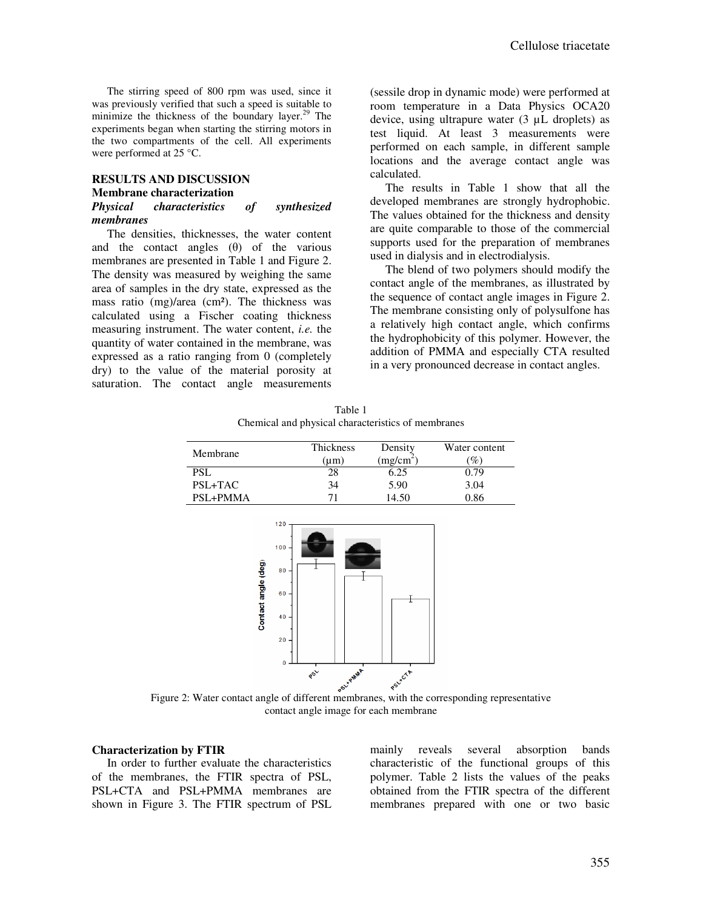The stirring speed of 800 rpm was used, since it was previously verified that such a speed is suitable to minimize the thickness of the boundary layer.<sup>29</sup> The experiments began when starting the stirring motors in the two compartments of the cell. All experiments were performed at 25 °C.

# **RESULTS AND DISCUSSION Membrane characterization**  *Physical characteristics of synthesized membranes*

The densities, thicknesses, the water content and the contact angles  $(\theta)$  of the various membranes are presented in Table 1 and Figure 2. The density was measured by weighing the same area of samples in the dry state, expressed as the mass ratio (mg)/area (cm²). The thickness was calculated using a Fischer coating thickness measuring instrument. The water content, *i.e.* the quantity of water contained in the membrane, was expressed as a ratio ranging from 0 (completely dry) to the value of the material porosity at saturation. The contact angle measurements

(sessile drop in dynamic mode) were performed at room temperature in a Data Physics OCA20 device, using ultrapure water (3 µL droplets) as test liquid. At least 3 measurements were performed on each sample, in different sample locations and the average contact angle was calculated.

The results in Table 1 show that all the developed membranes are strongly hydrophobic. The values obtained for the thickness and density are quite comparable to those of the commercial supports used for the preparation of membranes used in dialysis and in electrodialysis.

The blend of two polymers should modify the contact angle of the membranes, as illustrated by the sequence of contact angle images in Figure 2. The membrane consisting only of polysulfone has a relatively high contact angle, which confirms the hydrophobicity of this polymer. However, the addition of PMMA and especially CTA resulted in a very pronounced decrease in contact angles.

Table 1 Chemical and physical characteristics of membranes

| Membrane     | Thickness<br>(um) | Density<br>(mg/cm <sup>2</sup> ) | Water content<br>$\%$ |
|--------------|-------------------|----------------------------------|-----------------------|
| PSL          | 28                | 6.25                             | 0.79                  |
| PSL+TAC      | 34                | 5.90                             | 3.04                  |
| $PSI + PMMA$ |                   | 14.50                            | 0.86                  |



Figure 2: Water contact angle of different membranes, with the corresponding representative contact angle image for each membrane

#### **Characterization by FTIR**

In order to further evaluate the characteristics of the membranes, the FTIR spectra of PSL, PSL+CTA and PSL+PMMA membranes are shown in Figure 3. The FTIR spectrum of PSL mainly reveals several absorption bands characteristic of the functional groups of this polymer. Table 2 lists the values of the peaks obtained from the FTIR spectra of the different membranes prepared with one or two basic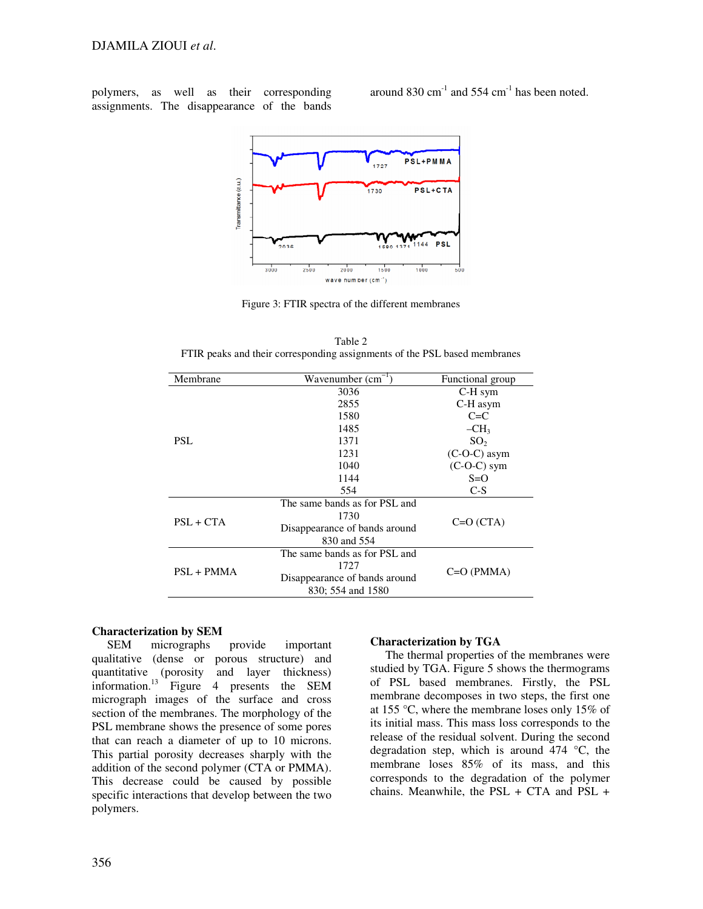polymers, as well as their corresponding assignments. The disappearance of the bands

around  $830 \text{ cm}^{-1}$  and  $554 \text{ cm}^{-1}$  has been noted.



Figure 3: FTIR spectra of the different membranes

| Membrane     | Wavenumber $(cm^{-1})$        | Functional group |  |
|--------------|-------------------------------|------------------|--|
| PSL.         | 3036                          | C-H sym          |  |
|              | 2855                          | C-H asym         |  |
|              | 1580                          | $C= C$           |  |
|              | 1485                          | $-CH3$           |  |
|              | 1371                          | SO <sub>2</sub>  |  |
|              | 1231                          | $(C-O-C)$ asym   |  |
|              | 1040                          | $(C-O-C)$ sym    |  |
|              | 1144                          | $S=O$            |  |
|              | 554                           | $C-S$            |  |
| $PSL + CTA$  | The same bands as for PSL and |                  |  |
|              | 1730                          | $C=O(CTA)$       |  |
|              | Disappearance of bands around |                  |  |
|              | 830 and 554                   |                  |  |
| $PSL + PMMA$ | The same bands as for PSL and |                  |  |
|              | 1727                          | $C=O(PMMA)$      |  |
|              | Disappearance of bands around |                  |  |
|              | 830; 554 and 1580             |                  |  |

Table 2 FTIR peaks and their corresponding assignments of the PSL based membranes

# **Characterization by SEM**

SEM micrographs provide important qualitative (dense or porous structure) and<br>quantitative (porosity and layer thickness) quantitative (porosity and layer thickness) information.<sup>13</sup> Figure 4 presents the SEM micrograph images of the surface and cross section of the membranes. The morphology of the PSL membrane shows the presence of some pores that can reach a diameter of up to 10 microns. This partial porosity decreases sharply with the addition of the second polymer (CTA or PMMA). This decrease could be caused by possible specific interactions that develop between the two polymers.

# **Characterization by TGA**

The thermal properties of the membranes were studied by TGA. Figure 5 shows the thermograms of PSL based membranes. Firstly, the PSL membrane decomposes in two steps, the first one at 155 °C, where the membrane loses only 15% of its initial mass. This mass loss corresponds to the release of the residual solvent. During the second degradation step, which is around  $474 \degree C$ , the membrane loses 85% of its mass, and this corresponds to the degradation of the polymer chains. Meanwhile, the  $PSL + CTA$  and  $PSL +$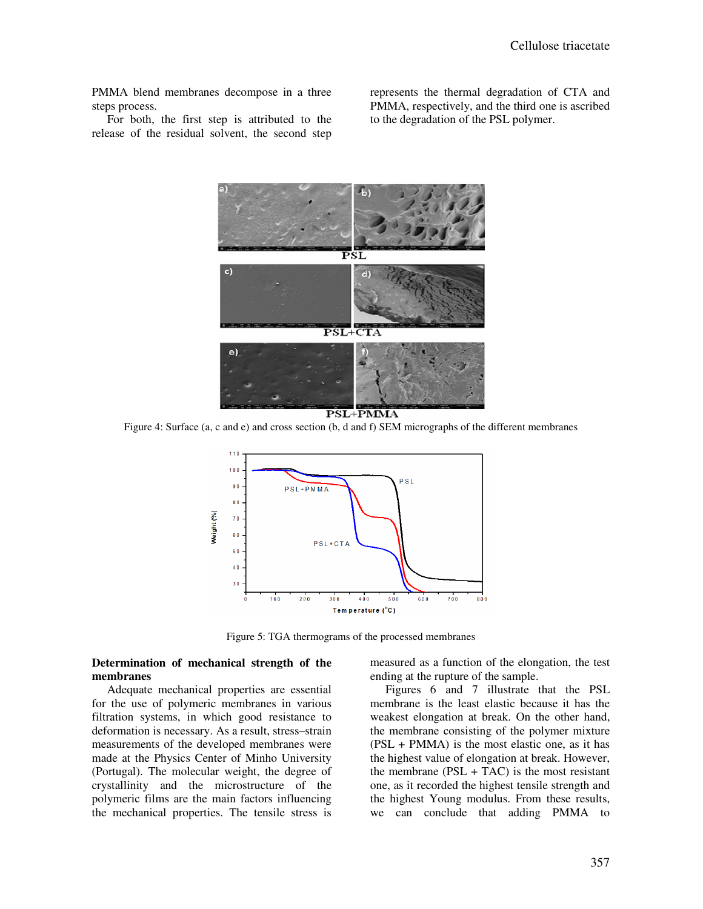PMMA blend membranes decompose in a three steps process.

For both, the first step is attributed to the release of the residual solvent, the second step

represents the thermal degradation of CTA and PMMA, respectively, and the third one is ascribed to the degradation of the PSL polymer.



PSL+PMMA

Figure 4: Surface (a, c and e) and cross section (b, d and f) SEM micrographs of the different membranes



Figure 5: TGA thermograms of the processed membranes

## **Determination of mechanical strength of the membranes**

Adequate mechanical properties are essential for the use of polymeric membranes in various filtration systems, in which good resistance to deformation is necessary. As a result, stress–strain measurements of the developed membranes were made at the Physics Center of Minho University (Portugal). The molecular weight, the degree of crystallinity and the microstructure of the polymeric films are the main factors influencing the mechanical properties. The tensile stress is

measured as a function of the elongation, the test ending at the rupture of the sample.

Figures 6 and 7 illustrate that the PSL membrane is the least elastic because it has the weakest elongation at break. On the other hand, the membrane consisting of the polymer mixture (PSL + PMMA) is the most elastic one, as it has the highest value of elongation at break. However, the membrane  $(PSL + TAC)$  is the most resistant one, as it recorded the highest tensile strength and the highest Young modulus. From these results, we can conclude that adding PMMA to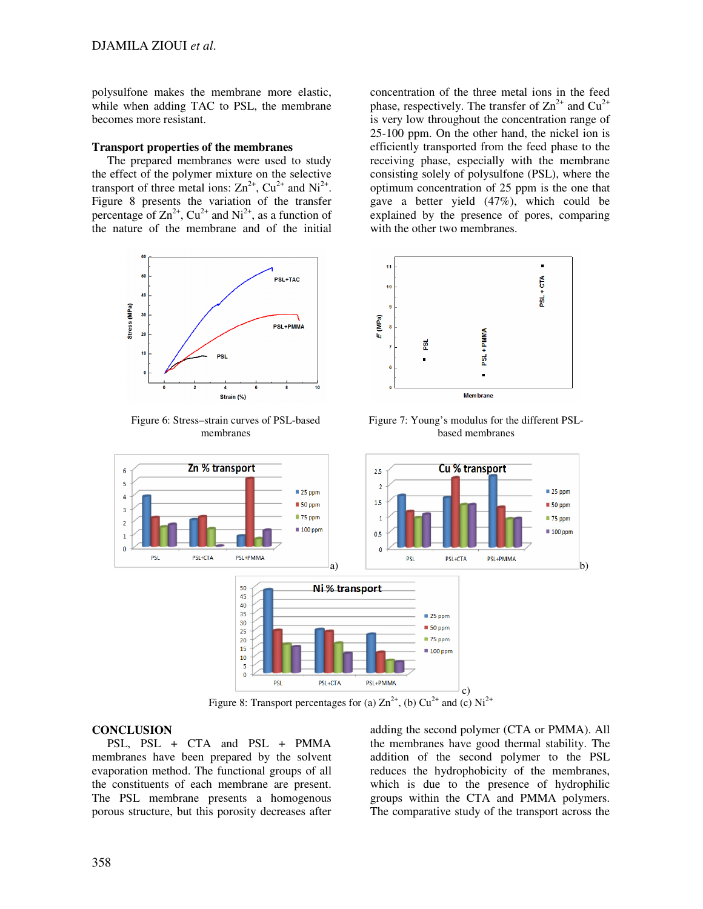polysulfone makes the membrane more elastic, while when adding TAC to PSL, the membrane becomes more resistant.

#### **Transport properties of the membranes**

The prepared membranes were used to study the effect of the polymer mixture on the selective transport of three metal ions:  $Zn^{2+}$ ,  $Cu^{2+}$  and  $Ni^{2+}$ . Figure 8 presents the variation of the transfer percentage of  $\text{Zn}^{2+}$ ,  $\text{Cu}^{2+}$  and  $\text{Ni}^{2+}$ , as a function of the nature of the membrane and of the initial



Figure 6: Stress–strain curves of PSL-based membranes

concentration of the three metal ions in the feed phase, respectively. The transfer of  $Zn^{2+}$  and  $Cu^{2+}$ is very low throughout the concentration range of 25-100 ppm. On the other hand, the nickel ion is efficiently transported from the feed phase to the receiving phase, especially with the membrane consisting solely of polysulfone (PSL), where the optimum concentration of 25 ppm is the one that gave a better yield (47%), which could be explained by the presence of pores, comparing with the other two membranes.



Figure 7: Young's modulus for the different PSLbased membranes



Figure 8: Transport percentages for (a)  $\text{Zn}^{2+}$ , (b)  $\text{Cu}^{2+}$  and (c)  $\text{Ni}^{2+}$ 

#### **CONCLUSION**

PSL, PSL + CTA and PSL + PMMA membranes have been prepared by the solvent evaporation method. The functional groups of all the constituents of each membrane are present. The PSL membrane presents a homogenous porous structure, but this porosity decreases after

adding the second polymer (CTA or PMMA). All the membranes have good thermal stability. The addition of the second polymer to the PSL reduces the hydrophobicity of the membranes, which is due to the presence of hydrophilic groups within the CTA and PMMA polymers. The comparative study of the transport across the